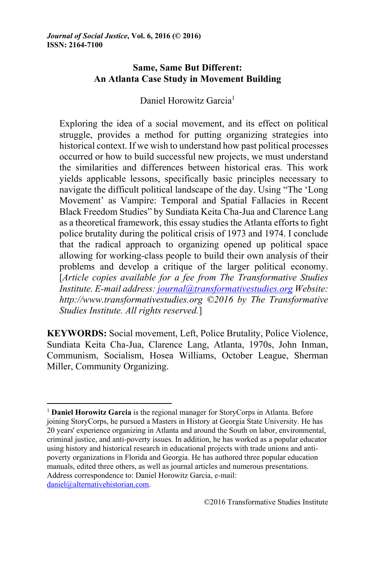# **Same, Same But Different: An Atlanta Case Study in Movement Building**

Daniel Horowitz Garcia<sup>1</sup>

Exploring the idea of a social movement, and its effect on political struggle, provides a method for putting organizing strategies into historical context. If we wish to understand how past political processes occurred or how to build successful new projects, we must understand the similarities and differences between historical eras. This work yields applicable lessons, specifically basic principles necessary to navigate the difficult political landscape of the day. Using "The 'Long Movement' as Vampire: Temporal and Spatial Fallacies in Recent Black Freedom Studies" by Sundiata Keita Cha-Jua and Clarence Lang as a theoretical framework, this essay studies the Atlanta efforts to fight police brutality during the political crisis of 1973 and 1974. I conclude that the radical approach to organizing opened up political space allowing for working-class people to build their own analysis of their problems and develop a critique of the larger political economy. [*Article copies available for a fee from The Transformative Studies Institute. E-mail address: journal@transformativestudies.org Website: http://www.transformativestudies.org ©2016 by The Transformative Studies Institute. All rights reserved.*]

**KEYWORDS:** Social movement, Left, Police Brutality, Police Violence, Sundiata Keita Cha-Jua, Clarence Lang, Atlanta, 1970s, John Inman, Communism, Socialism, Hosea Williams, October League, Sherman Miller, Community Organizing.

<sup>1</sup> **Daniel Horowitz Garcia** is the regional manager for StoryCorps in Atlanta. Before joining StoryCorps, he pursued a Masters in History at Georgia State University. He has 20 years' experience organizing in Atlanta and around the South on labor, environmental, criminal justice, and anti-poverty issues. In addition, he has worked as a popular educator using history and historical research in educational projects with trade unions and antipoverty organizations in Florida and Georgia. He has authored three popular education manuals, edited three others, as well as journal articles and numerous presentations. Address correspondence to: Daniel Horowitz Garcia, e-mail: daniel@alternativehistorian.com.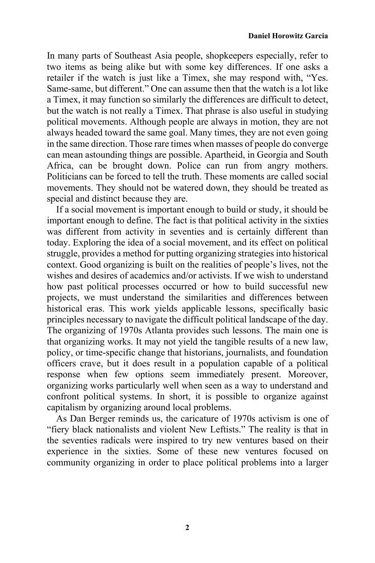In many parts of Southeast Asia people, shopkeepers especially, refer to two items as being alike but with some key differences. If one asks a retailer if the watch is just like a Timex, she may respond with, "Yes. Same-same, but different." One can assume then that the watch is a lot like a Timex, it may function so similarly the differences are difficult to detect, but the watch is not really a Timex. That phrase is also useful in studying political movements. Although people are always in motion, they are not always headed toward the same goal. Many times, they are not even going in the same direction. Those rare times when masses of people do converge can mean astounding things are possible. Apartheid, in Georgia and South Africa, can be brought down. Police can run from angry mothers. Politicians can be forced to tell the truth. These moments are called social movements. They should not be watered down, they should be treated as special and distinct because they are.

If a social movement is important enough to build or study, it should be important enough to define. The fact is that political activity in the sixties was different from activity in seventies and is certainly different than today. Exploring the idea of a social movement, and its effect on political struggle, provides a method for putting organizing strategies into historical context. Good organizing is built on the realities of people's lives, not the wishes and desires of academics and/or activists. If we wish to understand how past political processes occurred or how to build successful new projects, we must understand the similarities and differences between historical eras. This work yields applicable lessons, specifically basic principles necessary to navigate the difficult political landscape of the day. The organizing of 1970s Atlanta provides such lessons. The main one is that organizing works. It may not yield the tangible results of a new law, policy, or time-specific change that historians, journalists, and foundation officers crave, but it does result in a population capable of a political response when few options seem immediately present. Moreover, organizing works particularly well when seen as a way to understand and confront political systems. In short, it is possible to organize against capitalism by organizing around local problems.

As Dan Berger reminds us, the caricature of 1970s activism is one of "fiery black nationalists and violent New Leftists." The reality is that in the seventies radicals were inspired to try new ventures based on their experience in the sixties. Some of these new ventures focused on community organizing in order to place political problems into a larger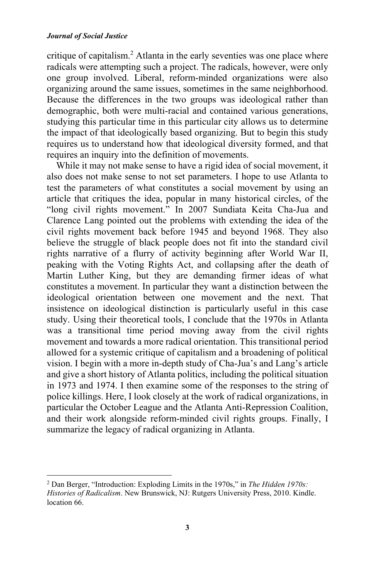#### *Journal of Social Justice*

critique of capitalism.<sup>2</sup> Atlanta in the early seventies was one place where radicals were attempting such a project. The radicals, however, were only one group involved. Liberal, reform-minded organizations were also organizing around the same issues, sometimes in the same neighborhood. Because the differences in the two groups was ideological rather than demographic, both were multi-racial and contained various generations, studying this particular time in this particular city allows us to determine the impact of that ideologically based organizing. But to begin this study requires us to understand how that ideological diversity formed, and that requires an inquiry into the definition of movements.

While it may not make sense to have a rigid idea of social movement, it also does not make sense to not set parameters. I hope to use Atlanta to test the parameters of what constitutes a social movement by using an article that critiques the idea, popular in many historical circles, of the "long civil rights movement." In 2007 Sundiata Keita Cha-Jua and Clarence Lang pointed out the problems with extending the idea of the civil rights movement back before 1945 and beyond 1968. They also believe the struggle of black people does not fit into the standard civil rights narrative of a flurry of activity beginning after World War II, peaking with the Voting Rights Act, and collapsing after the death of Martin Luther King, but they are demanding firmer ideas of what constitutes a movement. In particular they want a distinction between the ideological orientation between one movement and the next. That insistence on ideological distinction is particularly useful in this case study. Using their theoretical tools, I conclude that the 1970s in Atlanta was a transitional time period moving away from the civil rights movement and towards a more radical orientation. This transitional period allowed for a systemic critique of capitalism and a broadening of political vision. I begin with a more in-depth study of Cha-Jua's and Lang's article and give a short history of Atlanta politics, including the political situation in 1973 and 1974. I then examine some of the responses to the string of police killings. Here, I look closely at the work of radical organizations, in particular the October League and the Atlanta Anti-Repression Coalition, and their work alongside reform-minded civil rights groups. Finally, I summarize the legacy of radical organizing in Atlanta.

<sup>2</sup> Dan Berger, "Introduction: Exploding Limits in the 1970s," in *The Hidden 1970s: Histories of Radicalism*. New Brunswick, NJ: Rutgers University Press, 2010. Kindle. location 66.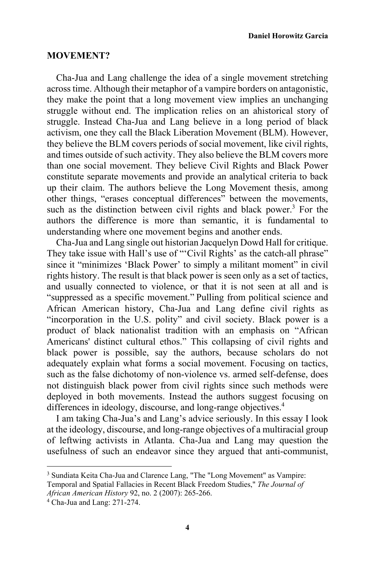### **MOVEMENT?**

Cha-Jua and Lang challenge the idea of a single movement stretching across time. Although their metaphor of a vampire borders on antagonistic, they make the point that a long movement view implies an unchanging struggle without end. The implication relies on an ahistorical story of struggle. Instead Cha-Jua and Lang believe in a long period of black activism, one they call the Black Liberation Movement (BLM). However, they believe the BLM covers periods of social movement, like civil rights, and times outside of such activity. They also believe the BLM covers more than one social movement. They believe Civil Rights and Black Power constitute separate movements and provide an analytical criteria to back up their claim. The authors believe the Long Movement thesis, among other things, "erases conceptual differences" between the movements, such as the distinction between civil rights and black power.<sup>3</sup> For the authors the difference is more than semantic, it is fundamental to understanding where one movement begins and another ends.

Cha-Jua and Lang single out historian Jacquelyn Dowd Hall for critique. They take issue with Hall's use of "'Civil Rights' as the catch-all phrase" since it "minimizes 'Black Power' to simply a militant moment" in civil rights history. The result is that black power is seen only as a set of tactics, and usually connected to violence, or that it is not seen at all and is "suppressed as a specific movement." Pulling from political science and African American history, Cha-Jua and Lang define civil rights as "incorporation in the U.S. polity" and civil society. Black power is a product of black nationalist tradition with an emphasis on "African Americans' distinct cultural ethos." This collapsing of civil rights and black power is possible, say the authors, because scholars do not adequately explain what forms a social movement. Focusing on tactics, such as the false dichotomy of non-violence vs. armed self-defense, does not distinguish black power from civil rights since such methods were deployed in both movements. Instead the authors suggest focusing on differences in ideology, discourse, and long-range objectives.<sup>4</sup>

I am taking Cha-Jua's and Lang's advice seriously. In this essay I look at the ideology, discourse, and long-range objectives of a multiracial group of leftwing activists in Atlanta. Cha-Jua and Lang may question the usefulness of such an endeavor since they argued that anti-communist,

<sup>&</sup>lt;sup>3</sup> Sundiata Keita Cha-Jua and Clarence Lang, "The "Long Movement" as Vampire: Temporal and Spatial Fallacies in Recent Black Freedom Studies," *The Journal of* 

*African American History* 92, no. 2 (2007): 265-266. 4 Cha-Jua and Lang: 271-274.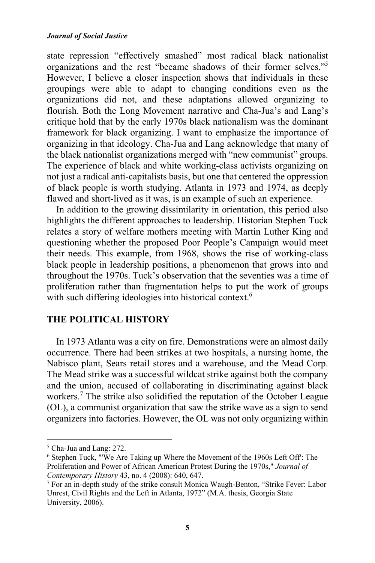state repression "effectively smashed" most radical black nationalist organizations and the rest "became shadows of their former selves."<sup>5</sup> However, I believe a closer inspection shows that individuals in these groupings were able to adapt to changing conditions even as the organizations did not, and these adaptations allowed organizing to flourish. Both the Long Movement narrative and Cha-Jua's and Lang's critique hold that by the early 1970s black nationalism was the dominant framework for black organizing. I want to emphasize the importance of organizing in that ideology. Cha-Jua and Lang acknowledge that many of the black nationalist organizations merged with "new communist" groups. The experience of black and white working-class activists organizing on not just a radical anti-capitalists basis, but one that centered the oppression of black people is worth studying. Atlanta in 1973 and 1974, as deeply flawed and short-lived as it was, is an example of such an experience.

In addition to the growing dissimilarity in orientation, this period also highlights the different approaches to leadership. Historian Stephen Tuck relates a story of welfare mothers meeting with Martin Luther King and questioning whether the proposed Poor People's Campaign would meet their needs. This example, from 1968, shows the rise of working-class black people in leadership positions, a phenomenon that grows into and throughout the 1970s. Tuck's observation that the seventies was a time of proliferation rather than fragmentation helps to put the work of groups with such differing ideologies into historical context.<sup>6</sup>

## **THE POLITICAL HISTORY**

In 1973 Atlanta was a city on fire. Demonstrations were an almost daily occurrence. There had been strikes at two hospitals, a nursing home, the Nabisco plant, Sears retail stores and a warehouse, and the Mead Corp. The Mead strike was a successful wildcat strike against both the company and the union, accused of collaborating in discriminating against black workers.<sup>7</sup> The strike also solidified the reputation of the October League (OL), a communist organization that saw the strike wave as a sign to send organizers into factories. However, the OL was not only organizing within

<sup>5</sup> Cha-Jua and Lang: 272.

<sup>6</sup> Stephen Tuck, "'We Are Taking up Where the Movement of the 1960s Left Off': The Proliferation and Power of African American Protest During the 1970s," *Journal of Contemporary History* 43, no. 4 (2008): 640, 647.<br><sup>7</sup> For an in-depth study of the strike consult Monica Waugh-Benton, "Strike Fever: Labor

Unrest, Civil Rights and the Left in Atlanta, 1972" (M.A. thesis, Georgia State University, 2006).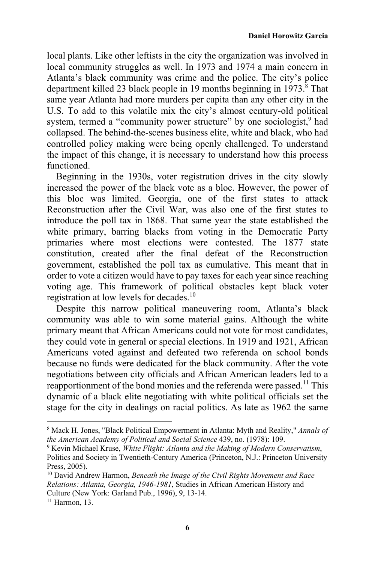local plants. Like other leftists in the city the organization was involved in local community struggles as well. In 1973 and 1974 a main concern in Atlanta's black community was crime and the police. The city's police department killed 23 black people in 19 months beginning in  $1973$ <sup>8</sup>. That same year Atlanta had more murders per capita than any other city in the U.S. To add to this volatile mix the city's almost century-old political system, termed a "community power structure" by one sociologist,<sup>9</sup> had collapsed. The behind-the-scenes business elite, white and black, who had controlled policy making were being openly challenged. To understand the impact of this change, it is necessary to understand how this process functioned.

Beginning in the 1930s, voter registration drives in the city slowly increased the power of the black vote as a bloc. However, the power of this bloc was limited. Georgia, one of the first states to attack Reconstruction after the Civil War, was also one of the first states to introduce the poll tax in 1868. That same year the state established the white primary, barring blacks from voting in the Democratic Party primaries where most elections were contested. The 1877 state constitution, created after the final defeat of the Reconstruction government, established the poll tax as cumulative. This meant that in order to vote a citizen would have to pay taxes for each year since reaching voting age. This framework of political obstacles kept black voter registration at low levels for decades.<sup>10</sup>

Despite this narrow political maneuvering room, Atlanta's black community was able to win some material gains. Although the white primary meant that African Americans could not vote for most candidates, they could vote in general or special elections. In 1919 and 1921, African Americans voted against and defeated two referenda on school bonds because no funds were dedicated for the black community. After the vote negotiations between city officials and African American leaders led to a reapportionment of the bond monies and the referenda were passed.<sup>11</sup> This dynamic of a black elite negotiating with white political officials set the stage for the city in dealings on racial politics. As late as 1962 the same

<sup>8</sup> Mack H. Jones, "Black Political Empowerment in Atlanta: Myth and Reality," *Annals of the American Academy of Political and Social Science* 439, no. (1978): 109.<br><sup>9</sup> Kevin Michael Kruse, *White Flight: Atlanta and the Making of Modern Conservatism*,

Politics and Society in Twentieth-Century America (Princeton, N.J.: Princeton University Press, 2005).

<sup>10</sup> David Andrew Harmon, *Beneath the Image of the Civil Rights Movement and Race Relations: Atlanta, Georgia, 1946-1981*, Studies in African American History and Culture (New York: Garland Pub., 1996), 9, 13-14.

<sup>11</sup> Harmon, 13.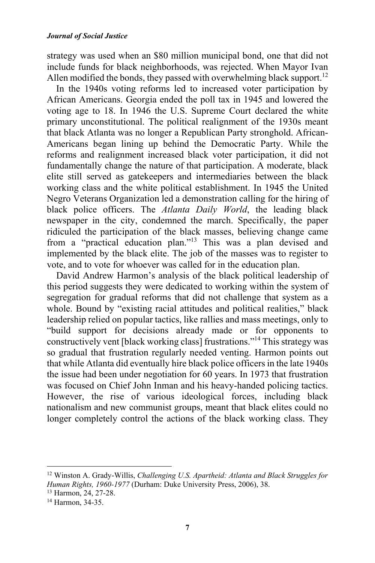strategy was used when an \$80 million municipal bond, one that did not include funds for black neighborhoods, was rejected. When Mayor Ivan Allen modified the bonds, they passed with overwhelming black support.<sup>12</sup>

In the 1940s voting reforms led to increased voter participation by African Americans. Georgia ended the poll tax in 1945 and lowered the voting age to 18. In 1946 the U.S. Supreme Court declared the white primary unconstitutional. The political realignment of the 1930s meant that black Atlanta was no longer a Republican Party stronghold. African-Americans began lining up behind the Democratic Party. While the reforms and realignment increased black voter participation, it did not fundamentally change the nature of that participation. A moderate, black elite still served as gatekeepers and intermediaries between the black working class and the white political establishment. In 1945 the United Negro Veterans Organization led a demonstration calling for the hiring of black police officers. The *Atlanta Daily World*, the leading black newspaper in the city, condemned the march. Specifically, the paper ridiculed the participation of the black masses, believing change came from a "practical education plan."13 This was a plan devised and implemented by the black elite. The job of the masses was to register to vote, and to vote for whoever was called for in the education plan.

David Andrew Harmon's analysis of the black political leadership of this period suggests they were dedicated to working within the system of segregation for gradual reforms that did not challenge that system as a whole. Bound by "existing racial attitudes and political realities," black leadership relied on popular tactics, like rallies and mass meetings, only to "build support for decisions already made or for opponents to constructively vent [black working class] frustrations."14 This strategy was so gradual that frustration regularly needed venting. Harmon points out that while Atlanta did eventually hire black police officers in the late 1940s the issue had been under negotiation for 60 years. In 1973 that frustration was focused on Chief John Inman and his heavy-handed policing tactics. However, the rise of various ideological forces, including black nationalism and new communist groups, meant that black elites could no longer completely control the actions of the black working class. They

<sup>12</sup> Winston A. Grady-Willis, *Challenging U.S. Apartheid: Atlanta and Black Struggles for Human Rights, 1960-1977* (Durham: Duke University Press, 2006), 38. <sup>13</sup> Harmon, 24, 27-28.

<sup>14</sup> Harmon, 34-35.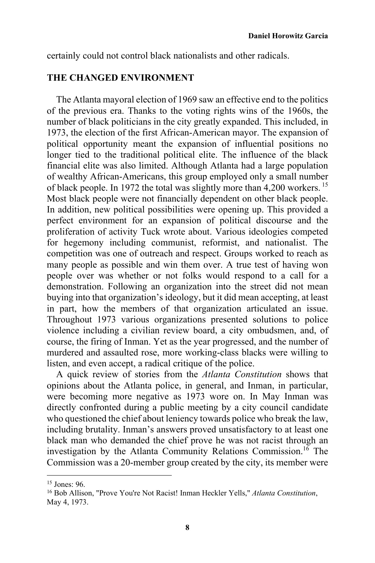certainly could not control black nationalists and other radicals.

## **THE CHANGED ENVIRONMENT**

The Atlanta mayoral election of 1969 saw an effective end to the politics of the previous era. Thanks to the voting rights wins of the 1960s, the number of black politicians in the city greatly expanded. This included, in 1973, the election of the first African-American mayor. The expansion of political opportunity meant the expansion of influential positions no longer tied to the traditional political elite. The influence of the black financial elite was also limited. Although Atlanta had a large population of wealthy African-Americans, this group employed only a small number of black people. In 1972 the total was slightly more than 4,200 workers.<sup>15</sup> Most black people were not financially dependent on other black people. In addition, new political possibilities were opening up. This provided a perfect environment for an expansion of political discourse and the proliferation of activity Tuck wrote about. Various ideologies competed for hegemony including communist, reformist, and nationalist. The competition was one of outreach and respect. Groups worked to reach as many people as possible and win them over. A true test of having won people over was whether or not folks would respond to a call for a demonstration. Following an organization into the street did not mean buying into that organization's ideology, but it did mean accepting, at least in part, how the members of that organization articulated an issue. Throughout 1973 various organizations presented solutions to police violence including a civilian review board, a city ombudsmen, and, of course, the firing of Inman. Yet as the year progressed, and the number of murdered and assaulted rose, more working-class blacks were willing to listen, and even accept, a radical critique of the police.

A quick review of stories from the *Atlanta Constitution* shows that opinions about the Atlanta police, in general, and Inman, in particular, were becoming more negative as 1973 wore on. In May Inman was directly confronted during a public meeting by a city council candidate who questioned the chief about leniency towards police who break the law, including brutality. Inman's answers proved unsatisfactory to at least one black man who demanded the chief prove he was not racist through an investigation by the Atlanta Community Relations Commission.<sup>16</sup> The Commission was a 20-member group created by the city, its member were

 $15$  Jones: 96.

<sup>16</sup> Bob Allison, "Prove You're Not Racist! Inman Heckler Yells," *Atlanta Constitution*, May 4, 1973.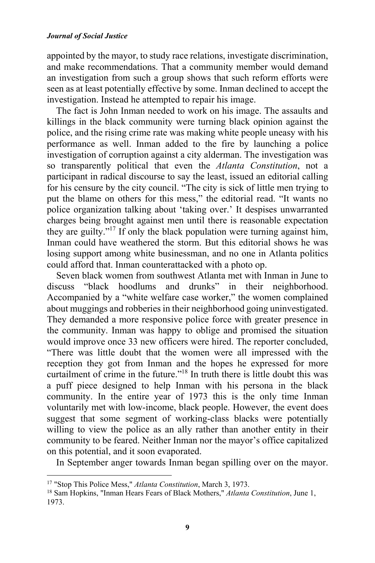appointed by the mayor, to study race relations, investigate discrimination, and make recommendations. That a community member would demand an investigation from such a group shows that such reform efforts were seen as at least potentially effective by some. Inman declined to accept the investigation. Instead he attempted to repair his image.

The fact is John Inman needed to work on his image. The assaults and killings in the black community were turning black opinion against the police, and the rising crime rate was making white people uneasy with his performance as well. Inman added to the fire by launching a police investigation of corruption against a city alderman. The investigation was so transparently political that even the *Atlanta Constitution*, not a participant in radical discourse to say the least, issued an editorial calling for his censure by the city council. "The city is sick of little men trying to put the blame on others for this mess," the editorial read. "It wants no police organization talking about 'taking over.' It despises unwarranted charges being brought against men until there is reasonable expectation they are guilty."17 If only the black population were turning against him, Inman could have weathered the storm. But this editorial shows he was losing support among white businessman, and no one in Atlanta politics could afford that. Inman counterattacked with a photo op.

Seven black women from southwest Atlanta met with Inman in June to discuss "black hoodlums and drunks" in their neighborhood. Accompanied by a "white welfare case worker," the women complained about muggings and robberies in their neighborhood going uninvestigated. They demanded a more responsive police force with greater presence in the community. Inman was happy to oblige and promised the situation would improve once 33 new officers were hired. The reporter concluded, "There was little doubt that the women were all impressed with the reception they got from Inman and the hopes he expressed for more curtailment of crime in the future."18 In truth there is little doubt this was a puff piece designed to help Inman with his persona in the black community. In the entire year of 1973 this is the only time Inman voluntarily met with low-income, black people. However, the event does suggest that some segment of working-class blacks were potentially willing to view the police as an ally rather than another entity in their community to be feared. Neither Inman nor the mayor's office capitalized on this potential, and it soon evaporated.

In September anger towards Inman began spilling over on the mayor.

<sup>&</sup>lt;sup>17</sup> "Stop This Police Mess," Atlanta Constitution, March 3, 1973.

<sup>&</sup>lt;sup>18</sup> Sam Hopkins, "Inman Hears Fears of Black Mothers," *Atlanta Constitution*, June 1, 1973.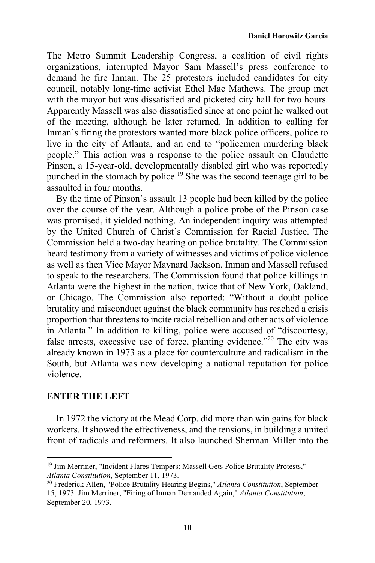The Metro Summit Leadership Congress, a coalition of civil rights organizations, interrupted Mayor Sam Massell's press conference to demand he fire Inman. The 25 protestors included candidates for city council, notably long-time activist Ethel Mae Mathews. The group met with the mayor but was dissatisfied and picketed city hall for two hours. Apparently Massell was also dissatisfied since at one point he walked out of the meeting, although he later returned. In addition to calling for Inman's firing the protestors wanted more black police officers, police to live in the city of Atlanta, and an end to "policemen murdering black people." This action was a response to the police assault on Claudette Pinson, a 15-year-old, developmentally disabled girl who was reportedly punched in the stomach by police.<sup>19</sup> She was the second teenage girl to be assaulted in four months.

By the time of Pinson's assault 13 people had been killed by the police over the course of the year. Although a police probe of the Pinson case was promised, it yielded nothing. An independent inquiry was attempted by the United Church of Christ's Commission for Racial Justice. The Commission held a two-day hearing on police brutality. The Commission heard testimony from a variety of witnesses and victims of police violence as well as then Vice Mayor Maynard Jackson. Inman and Massell refused to speak to the researchers. The Commission found that police killings in Atlanta were the highest in the nation, twice that of New York, Oakland, or Chicago. The Commission also reported: "Without a doubt police brutality and misconduct against the black community has reached a crisis proportion that threatens to incite racial rebellion and other acts of violence in Atlanta." In addition to killing, police were accused of "discourtesy, false arrests, excessive use of force, planting evidence."20 The city was already known in 1973 as a place for counterculture and radicalism in the South, but Atlanta was now developing a national reputation for police violence.

### **ENTER THE LEFT**

 

In 1972 the victory at the Mead Corp. did more than win gains for black workers. It showed the effectiveness, and the tensions, in building a united front of radicals and reformers. It also launched Sherman Miller into the

<sup>&</sup>lt;sup>19</sup> Jim Merriner, "Incident Flares Tempers: Massell Gets Police Brutality Protests," *Atlanta Constitution*, September 11, 1973. 20 Frederick Allen, "Police Brutality Hearing Begins," *Atlanta Constitution*, September

<sup>15, 1973.</sup> Jim Merriner, "Firing of Inman Demanded Again," *Atlanta Constitution*, September 20, 1973.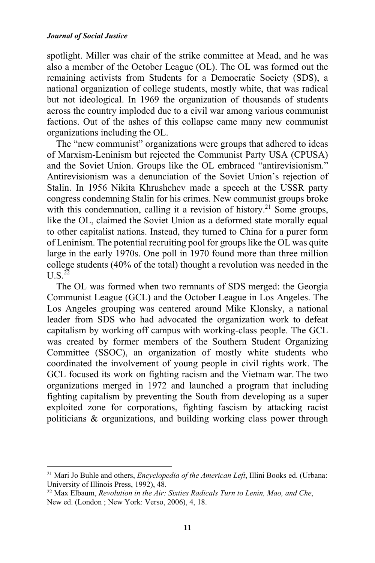spotlight. Miller was chair of the strike committee at Mead, and he was also a member of the October League (OL). The OL was formed out the remaining activists from Students for a Democratic Society (SDS), a national organization of college students, mostly white, that was radical but not ideological. In 1969 the organization of thousands of students across the country imploded due to a civil war among various communist factions. Out of the ashes of this collapse came many new communist organizations including the OL.

The "new communist" organizations were groups that adhered to ideas of Marxism-Leninism but rejected the Communist Party USA (CPUSA) and the Soviet Union. Groups like the OL embraced "antirevisionism." Antirevisionism was a denunciation of the Soviet Union's rejection of Stalin. In 1956 Nikita Khrushchev made a speech at the USSR party congress condemning Stalin for his crimes. New communist groups broke with this condemnation, calling it a revision of history.<sup>21</sup> Some groups, like the OL, claimed the Soviet Union as a deformed state morally equal to other capitalist nations. Instead, they turned to China for a purer form of Leninism. The potential recruiting pool for groups like the OL was quite large in the early 1970s. One poll in 1970 found more than three million college students (40% of the total) thought a revolution was needed in the  $U S^{22}$ 

The OL was formed when two remnants of SDS merged: the Georgia Communist League (GCL) and the October League in Los Angeles. The Los Angeles grouping was centered around Mike Klonsky, a national leader from SDS who had advocated the organization work to defeat capitalism by working off campus with working-class people. The GCL was created by former members of the Southern Student Organizing Committee (SSOC), an organization of mostly white students who coordinated the involvement of young people in civil rights work. The GCL focused its work on fighting racism and the Vietnam war. The two organizations merged in 1972 and launched a program that including fighting capitalism by preventing the South from developing as a super exploited zone for corporations, fighting fascism by attacking racist politicians & organizations, and building working class power through

<sup>21</sup> Mari Jo Buhle and others, *Encyclopedia of the American Left*, Illini Books ed. (Urbana: University of Illinois Press, 1992), 48.

<sup>22</sup> Max Elbaum, *Revolution in the Air: Sixties Radicals Turn to Lenin, Mao, and Che*, New ed. (London ; New York: Verso, 2006), 4, 18.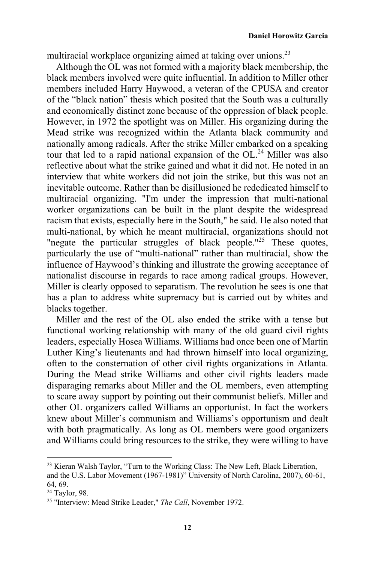multiracial workplace organizing aimed at taking over unions.<sup>23</sup>

Although the OL was not formed with a majority black membership, the black members involved were quite influential. In addition to Miller other members included Harry Haywood, a veteran of the CPUSA and creator of the "black nation" thesis which posited that the South was a culturally and economically distinct zone because of the oppression of black people. However, in 1972 the spotlight was on Miller. His organizing during the Mead strike was recognized within the Atlanta black community and nationally among radicals. After the strike Miller embarked on a speaking tour that led to a rapid national expansion of the OL.<sup>24</sup> Miller was also reflective about what the strike gained and what it did not. He noted in an interview that white workers did not join the strike, but this was not an inevitable outcome. Rather than be disillusioned he rededicated himself to multiracial organizing. "I'm under the impression that multi-national worker organizations can be built in the plant despite the widespread racism that exists, especially here in the South," he said. He also noted that multi-national, by which he meant multiracial, organizations should not "negate the particular struggles of black people."<sup>25</sup> These quotes, particularly the use of "multi-national" rather than multiracial, show the influence of Haywood's thinking and illustrate the growing acceptance of nationalist discourse in regards to race among radical groups. However, Miller is clearly opposed to separatism. The revolution he sees is one that has a plan to address white supremacy but is carried out by whites and blacks together.

Miller and the rest of the OL also ended the strike with a tense but functional working relationship with many of the old guard civil rights leaders, especially Hosea Williams. Williams had once been one of Martin Luther King's lieutenants and had thrown himself into local organizing, often to the consternation of other civil rights organizations in Atlanta. During the Mead strike Williams and other civil rights leaders made disparaging remarks about Miller and the OL members, even attempting to scare away support by pointing out their communist beliefs. Miller and other OL organizers called Williams an opportunist. In fact the workers knew about Miller's communism and Williams's opportunism and dealt with both pragmatically. As long as OL members were good organizers and Williams could bring resources to the strike, they were willing to have

<sup>&</sup>lt;sup>23</sup> Kieran Walsh Taylor, "Turn to the Working Class: The New Left, Black Liberation, and the U.S. Labor Movement (1967-1981)" University of North Carolina, 2007), 60-61, 64, 69.

<sup>24</sup> Taylor, 98.

<sup>25 &</sup>quot;Interview: Mead Strike Leader," *The Call*, November 1972.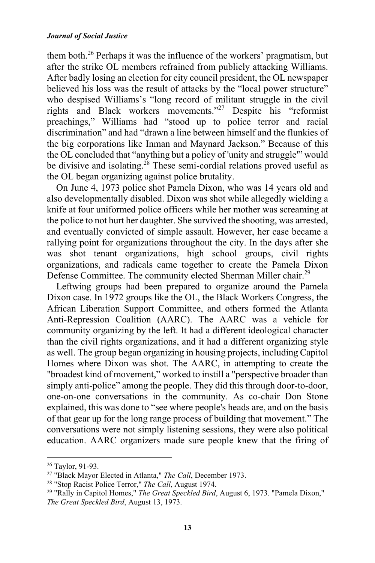#### *Journal of Social Justice*

them both.26 Perhaps it was the influence of the workers' pragmatism, but after the strike OL members refrained from publicly attacking Williams. After badly losing an election for city council president, the OL newspaper believed his loss was the result of attacks by the "local power structure" who despised Williams's "long record of militant struggle in the civil rights and Black workers movements."27 Despite his "reformist preachings," Williams had "stood up to police terror and racial discrimination" and had "drawn a line between himself and the flunkies of the big corporations like Inman and Maynard Jackson." Because of this the OL concluded that "anything but a policy of 'unity and struggle'" would be divisive and isolating.<sup>28</sup> These semi-cordial relations proved useful as the OL began organizing against police brutality.

On June 4, 1973 police shot Pamela Dixon, who was 14 years old and also developmentally disabled. Dixon was shot while allegedly wielding a knife at four uniformed police officers while her mother was screaming at the police to not hurt her daughter. She survived the shooting, was arrested, and eventually convicted of simple assault. However, her case became a rallying point for organizations throughout the city. In the days after she was shot tenant organizations, high school groups, civil rights organizations, and radicals came together to create the Pamela Dixon Defense Committee. The community elected Sherman Miller chair.<sup>29</sup>

Leftwing groups had been prepared to organize around the Pamela Dixon case. In 1972 groups like the OL, the Black Workers Congress, the African Liberation Support Committee, and others formed the Atlanta Anti-Repression Coalition (AARC). The AARC was a vehicle for community organizing by the left. It had a different ideological character than the civil rights organizations, and it had a different organizing style as well. The group began organizing in housing projects, including Capitol Homes where Dixon was shot. The AARC, in attempting to create the "broadest kind of movement," worked to instill a "perspective broader than simply anti-police" among the people. They did this through door-to-door, one-on-one conversations in the community. As co-chair Don Stone explained, this was done to "see where people's heads are, and on the basis of that gear up for the long range process of building that movement." The conversations were not simply listening sessions, they were also political education. AARC organizers made sure people knew that the firing of

<sup>&</sup>lt;sup>26</sup> Taylor, 91-93.<br><sup>27</sup> "Black Mayor Elected in Atlanta," *The Call*, December 1973.

<sup>&</sup>lt;sup>28</sup> "Stop Racist Police Terror," *The Call*, August 1974.<br><sup>29</sup> "Rally in Capitol Homes," *The Great Speckled Bird*, August 6, 1973. "Pamela Dixon," *The Great Speckled Bird*, August 13, 1973.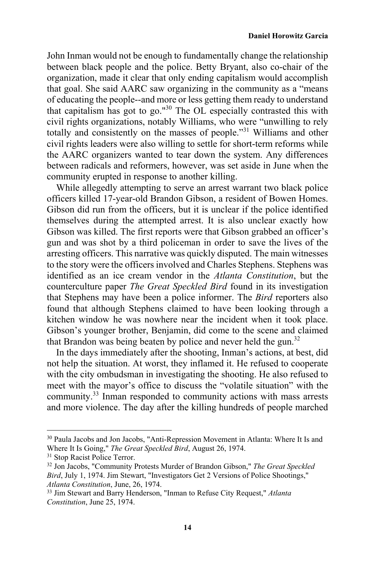John Inman would not be enough to fundamentally change the relationship between black people and the police. Betty Bryant, also co-chair of the organization, made it clear that only ending capitalism would accomplish that goal. She said AARC saw organizing in the community as a "means of educating the people--and more or less getting them ready to understand that capitalism has got to go."30 The OL especially contrasted this with civil rights organizations, notably Williams, who were "unwilling to rely totally and consistently on the masses of people."31 Williams and other civil rights leaders were also willing to settle for short-term reforms while the AARC organizers wanted to tear down the system. Any differences between radicals and reformers, however, was set aside in June when the community erupted in response to another killing.

While allegedly attempting to serve an arrest warrant two black police officers killed 17-year-old Brandon Gibson, a resident of Bowen Homes. Gibson did run from the officers, but it is unclear if the police identified themselves during the attempted arrest. It is also unclear exactly how Gibson was killed. The first reports were that Gibson grabbed an officer's gun and was shot by a third policeman in order to save the lives of the arresting officers. This narrative was quickly disputed. The main witnesses to the story were the officers involved and Charles Stephens. Stephens was identified as an ice cream vendor in the *Atlanta Constitution*, but the counterculture paper *The Great Speckled Bird* found in its investigation that Stephens may have been a police informer. The *Bird* reporters also found that although Stephens claimed to have been looking through a kitchen window he was nowhere near the incident when it took place. Gibson's younger brother, Benjamin, did come to the scene and claimed that Brandon was being beaten by police and never held the gun.<sup>32</sup>

In the days immediately after the shooting, Inman's actions, at best, did not help the situation. At worst, they inflamed it. He refused to cooperate with the city ombudsman in investigating the shooting. He also refused to meet with the mayor's office to discuss the "volatile situation" with the community.33 Inman responded to community actions with mass arrests and more violence. The day after the killing hundreds of people marched

<sup>30</sup> Paula Jacobs and Jon Jacobs, "Anti-Repression Movement in Atlanta: Where It Is and Where It Is Going," *The Great Speckled Bird*, August 26, 1974. <sup>31</sup> Stop Racist Police Terror.

<sup>32</sup> Jon Jacobs, "Community Protests Murder of Brandon Gibson," *The Great Speckled Bird*, July 1, 1974. Jim Stewart, "Investigators Get 2 Versions of Police Shootings," *Atlanta Constitution*, June, 26, 1974. 33 Jim Stewart and Barry Henderson, "Inman to Refuse City Request," *Atlanta* 

*Constitution*, June 25, 1974.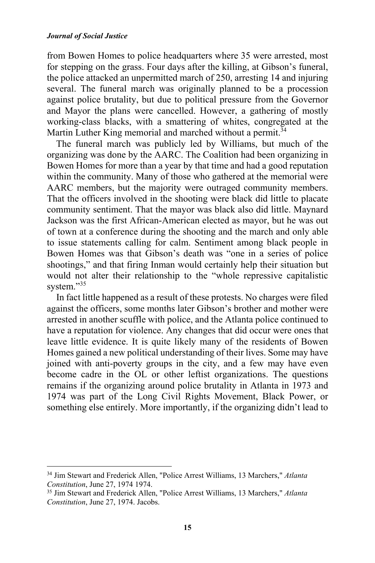from Bowen Homes to police headquarters where 35 were arrested, most for stepping on the grass. Four days after the killing, at Gibson's funeral, the police attacked an unpermitted march of 250, arresting 14 and injuring several. The funeral march was originally planned to be a procession against police brutality, but due to political pressure from the Governor and Mayor the plans were cancelled. However, a gathering of mostly working-class blacks, with a smattering of whites, congregated at the Martin Luther King memorial and marched without a permit.<sup>34</sup>

The funeral march was publicly led by Williams, but much of the organizing was done by the AARC. The Coalition had been organizing in Bowen Homes for more than a year by that time and had a good reputation within the community. Many of those who gathered at the memorial were AARC members, but the majority were outraged community members. That the officers involved in the shooting were black did little to placate community sentiment. That the mayor was black also did little. Maynard Jackson was the first African-American elected as mayor, but he was out of town at a conference during the shooting and the march and only able to issue statements calling for calm. Sentiment among black people in Bowen Homes was that Gibson's death was "one in a series of police shootings," and that firing Inman would certainly help their situation but would not alter their relationship to the "whole repressive capitalistic system."35

In fact little happened as a result of these protests. No charges were filed against the officers, some months later Gibson's brother and mother were arrested in another scuffle with police, and the Atlanta police continued to have a reputation for violence. Any changes that did occur were ones that leave little evidence. It is quite likely many of the residents of Bowen Homes gained a new political understanding of their lives. Some may have joined with anti-poverty groups in the city, and a few may have even become cadre in the OL or other leftist organizations. The questions remains if the organizing around police brutality in Atlanta in 1973 and 1974 was part of the Long Civil Rights Movement, Black Power, or something else entirely. More importantly, if the organizing didn't lead to

<sup>34</sup> Jim Stewart and Frederick Allen, "Police Arrest Williams, 13 Marchers," *Atlanta Constitution*, June 27, 1974 1974. 35 Jim Stewart and Frederick Allen, "Police Arrest Williams, 13 Marchers," *Atlanta* 

*Constitution*, June 27, 1974. Jacobs.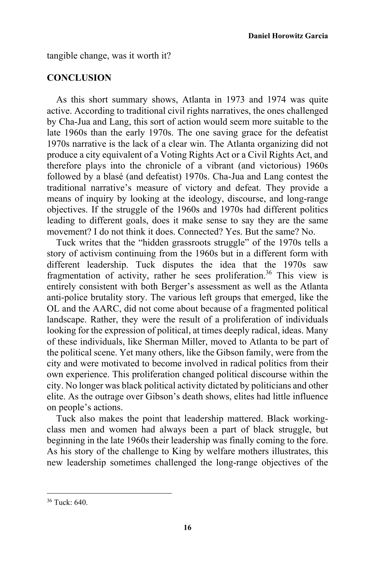tangible change, was it worth it?

# **CONCLUSION**

As this short summary shows, Atlanta in 1973 and 1974 was quite active. According to traditional civil rights narratives, the ones challenged by Cha-Jua and Lang, this sort of action would seem more suitable to the late 1960s than the early 1970s. The one saving grace for the defeatist 1970s narrative is the lack of a clear win. The Atlanta organizing did not produce a city equivalent of a Voting Rights Act or a Civil Rights Act, and therefore plays into the chronicle of a vibrant (and victorious) 1960s followed by a blasé (and defeatist) 1970s. Cha-Jua and Lang contest the traditional narrative's measure of victory and defeat. They provide a means of inquiry by looking at the ideology, discourse, and long-range objectives. If the struggle of the 1960s and 1970s had different politics leading to different goals, does it make sense to say they are the same movement? I do not think it does. Connected? Yes. But the same? No.

Tuck writes that the "hidden grassroots struggle" of the 1970s tells a story of activism continuing from the 1960s but in a different form with different leadership. Tuck disputes the idea that the 1970s saw fragmentation of activity, rather he sees proliferation.<sup>36</sup> This view is entirely consistent with both Berger's assessment as well as the Atlanta anti-police brutality story. The various left groups that emerged, like the OL and the AARC, did not come about because of a fragmented political landscape. Rather, they were the result of a proliferation of individuals looking for the expression of political, at times deeply radical, ideas. Many of these individuals, like Sherman Miller, moved to Atlanta to be part of the political scene. Yet many others, like the Gibson family, were from the city and were motivated to become involved in radical politics from their own experience. This proliferation changed political discourse within the city. No longer was black political activity dictated by politicians and other elite. As the outrage over Gibson's death shows, elites had little influence on people's actions.

Tuck also makes the point that leadership mattered. Black workingclass men and women had always been a part of black struggle, but beginning in the late 1960s their leadership was finally coming to the fore. As his story of the challenge to King by welfare mothers illustrates, this new leadership sometimes challenged the long-range objectives of the

<sup>36</sup> Tuck: 640.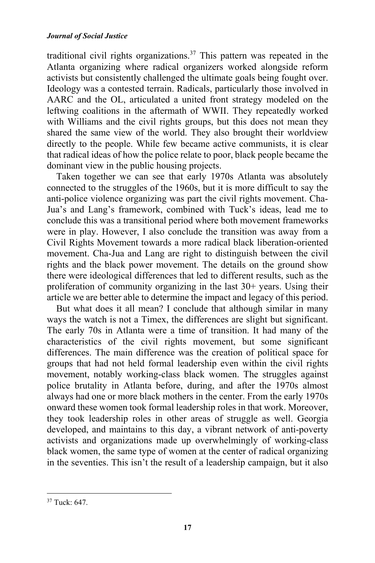traditional civil rights organizations.<sup>37</sup> This pattern was repeated in the Atlanta organizing where radical organizers worked alongside reform activists but consistently challenged the ultimate goals being fought over. Ideology was a contested terrain. Radicals, particularly those involved in AARC and the OL, articulated a united front strategy modeled on the leftwing coalitions in the aftermath of WWII. They repeatedly worked with Williams and the civil rights groups, but this does not mean they shared the same view of the world. They also brought their worldview directly to the people. While few became active communists, it is clear that radical ideas of how the police relate to poor, black people became the dominant view in the public housing projects.

Taken together we can see that early 1970s Atlanta was absolutely connected to the struggles of the 1960s, but it is more difficult to say the anti-police violence organizing was part the civil rights movement. Cha-Jua's and Lang's framework, combined with Tuck's ideas, lead me to conclude this was a transitional period where both movement frameworks were in play. However, I also conclude the transition was away from a Civil Rights Movement towards a more radical black liberation-oriented movement. Cha-Jua and Lang are right to distinguish between the civil rights and the black power movement. The details on the ground show there were ideological differences that led to different results, such as the proliferation of community organizing in the last 30+ years. Using their article we are better able to determine the impact and legacy of this period.

But what does it all mean? I conclude that although similar in many ways the watch is not a Timex, the differences are slight but significant. The early 70s in Atlanta were a time of transition. It had many of the characteristics of the civil rights movement, but some significant differences. The main difference was the creation of political space for groups that had not held formal leadership even within the civil rights movement, notably working-class black women. The struggles against police brutality in Atlanta before, during, and after the 1970s almost always had one or more black mothers in the center. From the early 1970s onward these women took formal leadership roles in that work. Moreover, they took leadership roles in other areas of struggle as well. Georgia developed, and maintains to this day, a vibrant network of anti-poverty activists and organizations made up overwhelmingly of working-class black women, the same type of women at the center of radical organizing in the seventies. This isn't the result of a leadership campaign, but it also

<sup>37</sup> Tuck: 647.